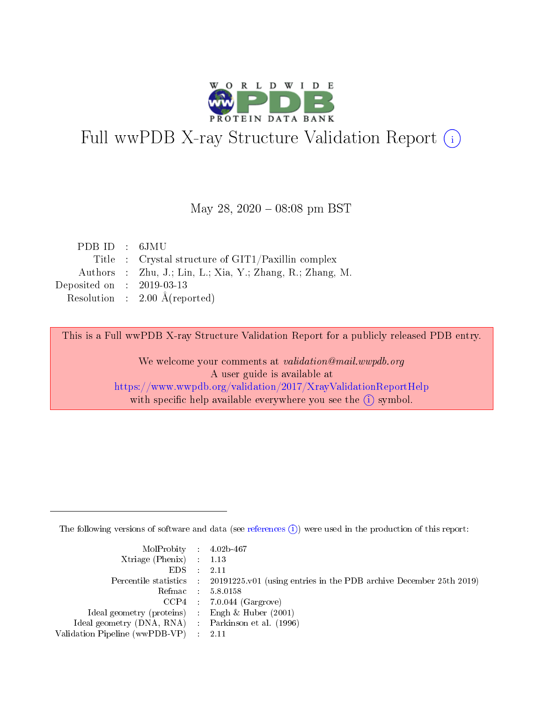

# Full wwPDB X-ray Structure Validation Report (i)

### May 28,  $2020 - 08:08$  pm BST

| PDB ID : 6JMU                                             |
|-----------------------------------------------------------|
| Title : Crystal structure of $GIT1/Paxillin$ complex      |
| Authors : Zhu, J.; Lin, L.; Xia, Y.; Zhang, R.; Zhang, M. |
| Deposited on : $2019-03-13$                               |
| Resolution : $2.00 \text{ Å}$ (reported)                  |
|                                                           |

This is a Full wwPDB X-ray Structure Validation Report for a publicly released PDB entry.

We welcome your comments at validation@mail.wwpdb.org A user guide is available at <https://www.wwpdb.org/validation/2017/XrayValidationReportHelp> with specific help available everywhere you see the  $(i)$  symbol.

The following versions of software and data (see [references](https://www.wwpdb.org/validation/2017/XrayValidationReportHelp#references)  $(i)$ ) were used in the production of this report:

| $MolProbability$ 4.02b-467                          |                                                                                            |
|-----------------------------------------------------|--------------------------------------------------------------------------------------------|
| Xtriage (Phenix) $: 1.13$                           |                                                                                            |
| $EDS$ :                                             | -2.11                                                                                      |
|                                                     | Percentile statistics : 20191225.v01 (using entries in the PDB archive December 25th 2019) |
|                                                     | Refmac : 5.8.0158                                                                          |
|                                                     | $CCP4$ : 7.0.044 (Gargrove)                                                                |
| Ideal geometry (proteins) : Engh $\&$ Huber (2001)  |                                                                                            |
| Ideal geometry (DNA, RNA) : Parkinson et al. (1996) |                                                                                            |
| Validation Pipeline (wwPDB-VP)                      | -2.11                                                                                      |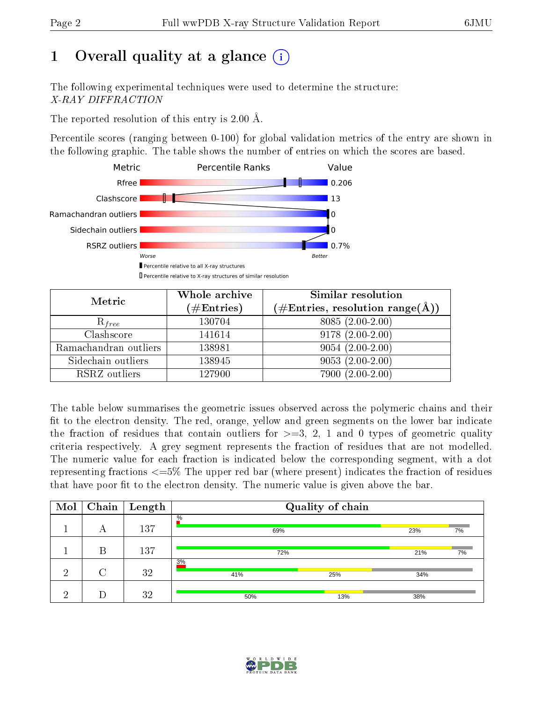# 1 [O](https://www.wwpdb.org/validation/2017/XrayValidationReportHelp#overall_quality)verall quality at a glance  $(i)$

The following experimental techniques were used to determine the structure: X-RAY DIFFRACTION

The reported resolution of this entry is 2.00 Å.

Percentile scores (ranging between 0-100) for global validation metrics of the entry are shown in the following graphic. The table shows the number of entries on which the scores are based.



| Metric                | Whole archive          | Similar resolution                                                     |
|-----------------------|------------------------|------------------------------------------------------------------------|
|                       | $(\#\mathrm{Entries})$ | $(\#\text{Entries},\,\text{resolution}\,\,\text{range}(\textup{\AA}))$ |
| $R_{free}$            | 130704                 | $8085(2.00-2.00)$                                                      |
| Clashscore            | 141614                 | $9178(2.00-2.00)$                                                      |
| Ramachandran outliers | 138981                 | $9054(2.00-2.00)$                                                      |
| Sidechain outliers    | 138945                 | $9053(2.00-2.00)$                                                      |
| RSRZ outliers         | 127900                 | $7900(2.00-2.00)$                                                      |

The table below summarises the geometric issues observed across the polymeric chains and their fit to the electron density. The red, orange, yellow and green segments on the lower bar indicate the fraction of residues that contain outliers for  $>=3, 2, 1$  and 0 types of geometric quality criteria respectively. A grey segment represents the fraction of residues that are not modelled. The numeric value for each fraction is indicated below the corresponding segment, with a dot representing fractions  $\epsilon=5\%$  The upper red bar (where present) indicates the fraction of residues that have poor fit to the electron density. The numeric value is given above the bar.

| Mol | Chain | $\vert$ Length | Quality of chain |     |     |    |  |  |
|-----|-------|----------------|------------------|-----|-----|----|--|--|
|     | А     | 137            | $\%$<br>69%      |     | 23% | 7% |  |  |
|     | В     | 137            | 72%              | 21% | 7%  |    |  |  |
| ച   | ∩     | 32             | 3%<br>41%        | 25% | 34% |    |  |  |
| ച   |       | 32             | 50%              | 13% | 38% |    |  |  |

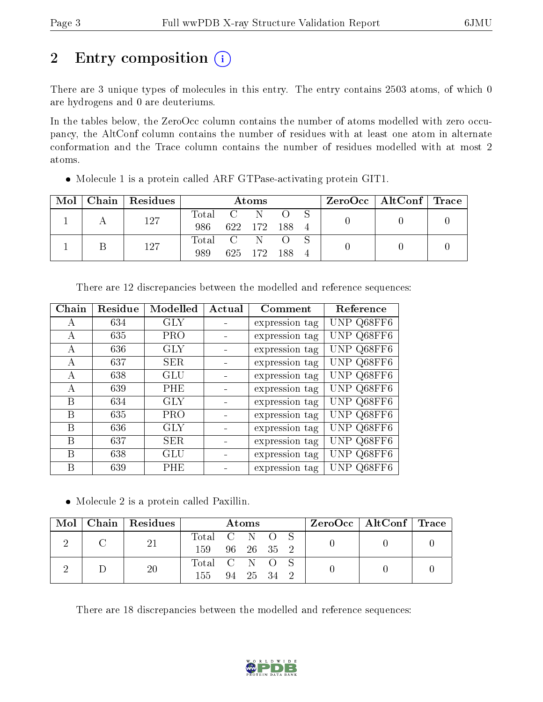# 2 Entry composition  $\left( \cdot \right)$

There are 3 unique types of molecules in this entry. The entry contains 2503 atoms, of which 0 are hydrogens and 0 are deuteriums.

In the tables below, the ZeroOcc column contains the number of atoms modelled with zero occupancy, the AltConf column contains the number of residues with at least one atom in alternate conformation and the Trace column contains the number of residues modelled with at most 2 atoms.

| Mol |  | Chain   Residues | Atoms       |  |               |       |  |  | $\text{ZeroOcc}$   AltConf   Trace |  |
|-----|--|------------------|-------------|--|---------------|-------|--|--|------------------------------------|--|
|     |  | 127              | Total C N O |  |               |       |  |  |                                    |  |
|     |  |                  | 986         |  | 622 172 188 4 |       |  |  |                                    |  |
|     |  | 127              | Total C N O |  |               |       |  |  |                                    |  |
|     |  |                  | 989         |  | 625 172       | - 188 |  |  |                                    |  |

Molecule 1 is a protein called ARF GTPase-activating protein GIT1.

| Chain | Residue | Modelled   | Actual | Comment        | Reference  |
|-------|---------|------------|--------|----------------|------------|
| A     | 634     | <b>GLY</b> |        | expression tag | UNP Q68FF6 |
| A     | 635     | <b>PRO</b> |        | expression tag | UNP Q68FF6 |
| А     | 636     | GLY        |        | expression tag | UNP Q68FF6 |
| А     | 637     | <b>SER</b> |        | expression tag | UNP Q68FF6 |
| А     | 638     | GLU        |        | expression tag | UNP Q68FF6 |
| A     | 639     | <b>PHE</b> |        | expression tag | UNP Q68FF6 |
| B     | 634     | GLY        |        | expression tag | UNP Q68FF6 |
| B     | 635     | <b>PRO</b> |        | expression tag | UNP Q68FF6 |
| B     | 636     | <b>GLY</b> |        | expression tag | UNP Q68FF6 |
| В     | 637     | <b>SER</b> |        | expression tag | UNP Q68FF6 |
| В     | 638     | GLU        |        | expression tag | UNP Q68FF6 |
| В     | 639     | PHE        |        | expression tag | UNP Q68FF6 |

There are 12 discrepancies between the modelled and reference sequences:

Molecule 2 is a protein called Paxillin.

| Mol |  | Chain   Residues | Atoms         |          |  |            | $ZeroOcc \mid AltConf \mid Trace$ |  |  |  |
|-----|--|------------------|---------------|----------|--|------------|-----------------------------------|--|--|--|
|     |  | 21               | Total C N O S |          |  |            |                                   |  |  |  |
|     |  |                  | 159           |          |  | 96 26 35 2 |                                   |  |  |  |
|     |  | <b>20</b>        | Total C N O S |          |  |            |                                   |  |  |  |
|     |  | 155              |               | 94 25 34 |  |            |                                   |  |  |  |

There are 18 discrepancies between the modelled and reference sequences:

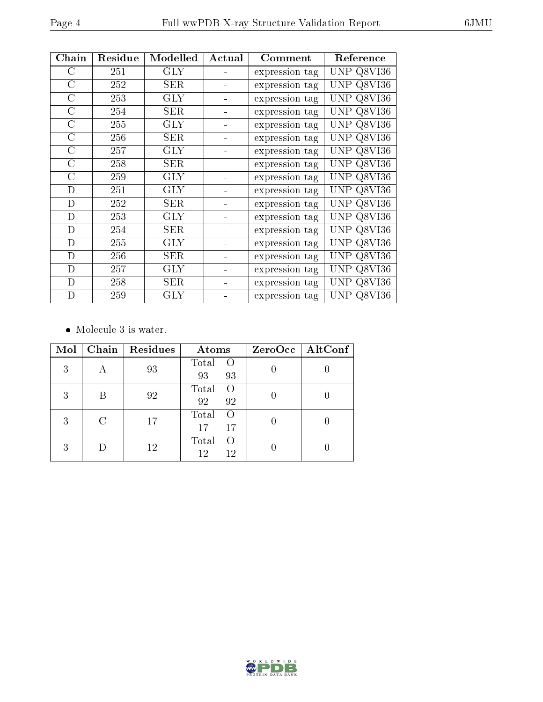| Chain          | Residue | Modelled    | Actual | Comment        | Reference            |
|----------------|---------|-------------|--------|----------------|----------------------|
| $\rm C$        | 251     | <b>GLY</b>  |        | expression tag | UNP Q8VI36           |
| $\overline{C}$ | 252     | <b>SER</b>  |        | expression tag | UNP.<br>Q8V136       |
| $\mathcal{C}$  | 253     | <b>GLY</b>  |        | expression tag | UNP.<br>Q8V136       |
| $\mathcal{C}$  | 254     | SER         |        | expression tag | UNP.<br>Q8VI36       |
| $\mathcal{C}$  | 255     | <b>GLY</b>  |        | expression tag | UNP Q8VI36           |
| $\mathcal{C}$  | 256     | SER         |        | expression tag | UNP Q8VI36           |
| С              | 257     | <b>GLY</b>  |        | expression tag | UNP<br>Q8VI36        |
| $\overline{C}$ | 258     | SER         |        | expression tag | <b>UNP</b><br>Q8V136 |
| C              | 259     | <b>GLY</b>  |        | expression tag | UNP<br>Q8VI36        |
| D              | 251     | <b>GLY</b>  |        | expression tag | UNP.<br>Q8VI36       |
| D              | 252     | ${\rm SER}$ |        | expression tag | UNP<br>Q8V136        |
| D              | 253     | <b>GLY</b>  |        | expression tag | UNP.<br>Q8V136       |
| D              | 254     | SER         |        | expression tag | UNP.<br>Q8VI36       |
| D              | 255     | <b>GLY</b>  |        | expression tag | Q8VI36<br>UNP        |
| D              | 256     | SER         |        | expression tag | Q8V136<br>UNP        |
| D              | 257     | $\rm GLY$   |        | expression tag | UNP<br>Q8VI36        |
| $\mathbf D$    | 258     | SER         |        | expression tag | UNP<br>Q8VI36        |
| $\mathbf D$    | 259     | $\rm GLY$   |        | expression tag | UNP Q8VI36           |

 $\bullet\,$  Molecule 3 is water.

| Mol | Chain | <b>Residues</b> | Atoms                                 | $ZeroOcc \   \$ AltConf |
|-----|-------|-----------------|---------------------------------------|-------------------------|
| 3   |       | 93              | Total<br>$\left( \right)$<br>93<br>93 |                         |
| 3   |       | 92              | Total<br>$\Omega$<br>92<br>92         |                         |
| 3   | C     | 17              | Total<br>17<br>17                     |                         |
| 3   |       | 12              | Total<br>12<br>12                     |                         |

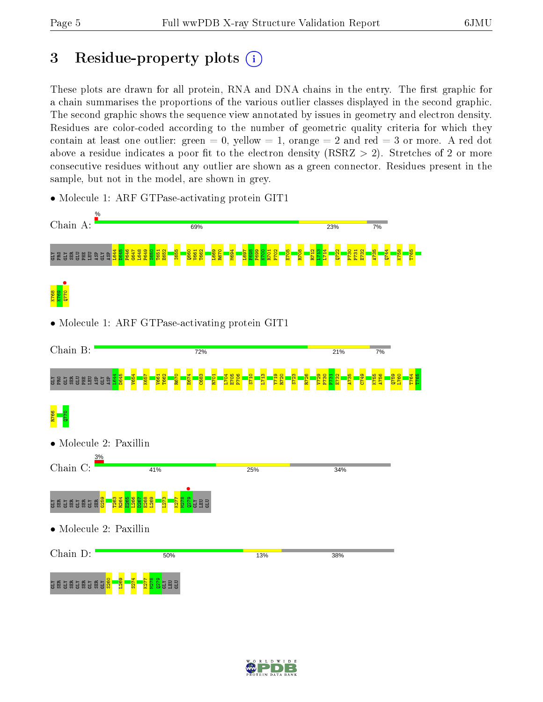Chain D:

a gala ser ser s

S260 L269 S274 K277 M278  $\frac{5}{2}$ GLY LEU GLU

50%

# 3 Residue-property plots  $(i)$

These plots are drawn for all protein, RNA and DNA chains in the entry. The first graphic for a chain summarises the proportions of the various outlier classes displayed in the second graphic. The second graphic shows the sequence view annotated by issues in geometry and electron density. Residues are color-coded according to the number of geometric quality criteria for which they contain at least one outlier: green  $= 0$ , yellow  $= 1$ , orange  $= 2$  and red  $= 3$  or more. A red dot above a residue indicates a poor fit to the electron density (RSRZ  $> 2$ ). Stretches of 2 or more consecutive residues without any outlier are shown as a green connector. Residues present in the sample, but not in the model, are shown in grey.

- Chain A: 69% 23% 7% L644 D645 P646 G647 L648 P649 S650 T651 E652 I655 Q660 V661 T662 L669 R670 M694 L697 F698 P699 K700 R701 P702 E705 R708 R712 L713 L714 Q722 P730 P731 E732 A735 Q744 K758 T765 GLY PRO GLY SER GLU PHE LEU ASP GLY ASP  $\bullet$   $\bullet$   $\bullet$ K768 K769 • Molecule 1: ARF GTPase-activating protein GIT1 Chain B: 72% 21% 7% L644 D645 V654 K657 V661 T662 R670 E674 C683 R701 L704 E705 P706 S710 L713 Y719 R720 S723 R726 V729 P730 P731 E732 A735 C749 K755 A756  $\frac{1}{2}$ L760 T764 T765 ER GLE BLE ASP GLY ASP R766 Q770 • Molecule 2: Paxillin Chain C: 41% 25% 34%  $\frac{1279}{127}$ G259 T263 R264 E265 L266 D267 E268 L269 L273 K277 M278 a gas gas g GLY LEU GLU • Molecule 2: Paxillin
- Molecule 1: ARF GTPase-activating protein GIT1



13%

38%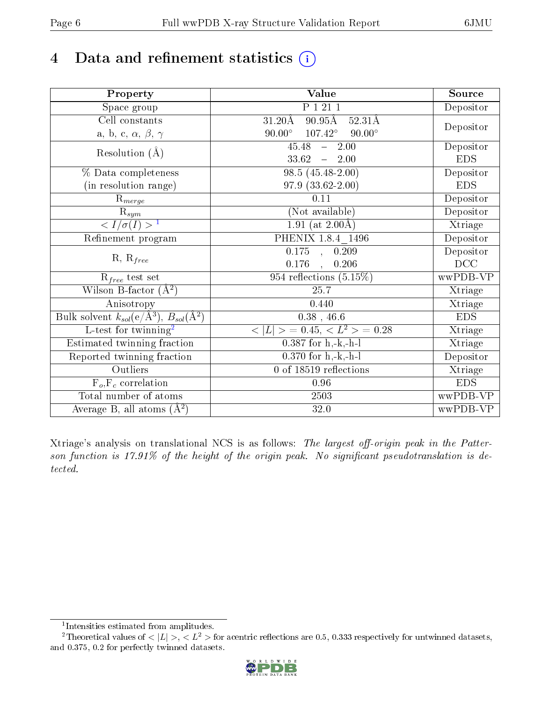# 4 Data and refinement statistics  $(i)$

| Property                                                         | Value                                               | Source     |
|------------------------------------------------------------------|-----------------------------------------------------|------------|
| Space group                                                      | P 1 21 1                                            | Depositor  |
| Cell constants                                                   | $90.95$ Å<br>$31.20\text{\AA}$<br>$52.31\text{\AA}$ |            |
| a, b, c, $\alpha$ , $\beta$ , $\gamma$                           | $90.00^\circ$<br>$107.42^{\circ}$<br>$90.00^\circ$  | Depositor  |
| Resolution $(A)$                                                 | 45.48<br>$-2.00$                                    | Depositor  |
|                                                                  | 33.62<br>$\frac{1}{2}$<br>2.00                      | <b>EDS</b> |
| % Data completeness                                              | $98.5(45.48-2.00)$                                  | Depositor  |
| (in resolution range)                                            | $97.9(33.62-2.00)$                                  | <b>EDS</b> |
| $R_{merge}$                                                      | $0.11\,$                                            | Depositor  |
| $\mathbf{\bar{R}}_{sym}$                                         | (Not available)                                     | Depositor  |
| $\frac{1}{\sigma(I)} > 1$                                        | $1.91$ (at 2.00Å)                                   | Xtriage    |
| Refinement program                                               | PHENIX 1.8.4 1496                                   | Depositor  |
|                                                                  | $0.175$ , $0.209$                                   | Depositor  |
| $R, R_{free}$                                                    | $0.176$ , $0.206$                                   | DCC        |
| $R_{free}$ test set                                              | $954$ reflections $(5.15\%)$                        | wwPDB-VP   |
| Wilson B-factor $(A^2)$                                          | 25.7                                                | Xtriage    |
| Anisotropy                                                       | 0.440                                               | Xtriage    |
| Bulk solvent $k_{sol}(\text{e}/\text{A}^3), B_{sol}(\text{A}^2)$ | $0.38$ , 46.6                                       | <b>EDS</b> |
| $L$ -test for twinning <sup>2</sup>                              | $< L >$ = 0.45, $< L^2 >$ = 0.28                    | Xtriage    |
| Estimated twinning fraction                                      | $0.387$ for h,-k,-h-l                               | Xtriage    |
| Reported twinning fraction                                       | $0.370$ for h,-k,-h-l                               | Depositor  |
| Outliers                                                         | 0 of 18519 reflections                              | Xtriage    |
| $F_o, F_c$ correlation                                           | 0.96                                                | <b>EDS</b> |
| Total number of atoms                                            | 2503                                                | wwPDB-VP   |
| Average B, all atoms $(A^2)$                                     | 32.0                                                | wwPDB-VP   |

Xtriage's analysis on translational NCS is as follows: The largest off-origin peak in the Patterson function is  $17.91\%$  of the height of the origin peak. No significant pseudotranslation is detected.

<sup>&</sup>lt;sup>2</sup>Theoretical values of  $\langle |L| \rangle$ ,  $\langle L^2 \rangle$  for acentric reflections are 0.5, 0.333 respectively for untwinned datasets, and 0.375, 0.2 for perfectly twinned datasets.



<span id="page-5-1"></span><span id="page-5-0"></span><sup>1</sup> Intensities estimated from amplitudes.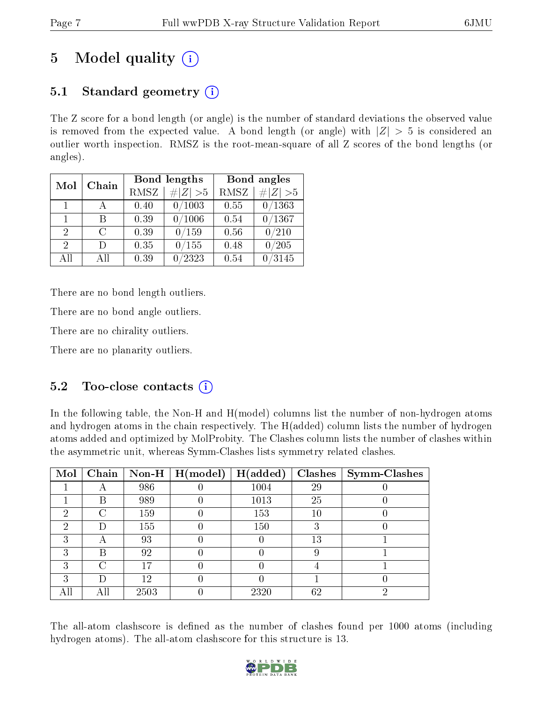# 5 Model quality  $(i)$

# 5.1 Standard geometry  $(i)$

The Z score for a bond length (or angle) is the number of standard deviations the observed value is removed from the expected value. A bond length (or angle) with  $|Z| > 5$  is considered an outlier worth inspection. RMSZ is the root-mean-square of all Z scores of the bond lengths (or angles).

| Mol                         | Chain |      | Bond lengths    | Bond angles |                 |  |
|-----------------------------|-------|------|-----------------|-------------|-----------------|--|
|                             |       | RMSZ | $\# Z  > 5$     | <b>RMSZ</b> | $\ Z\  > 5$     |  |
| $\mathbf{1}$                |       | 0.40 | 0/1003          | 0.55        | 0/1363          |  |
| 1.                          | R     | 0.39 | $\sqrt{1006}$   | 0.54        | 0/1367          |  |
| $\mathcal{D}$               | C     | 0.39 | 0/159           | 0.56        | 0/210           |  |
| $\mathcal{D}_{\mathcal{L}}$ | Ð     | 0.35 | 0/155           | 0.48        | 0/205           |  |
| AĦ                          | ΑH    | 0.39 | $^{\prime}2323$ | 0.54        | $^{\prime}3145$ |  |

There are no bond length outliers.

There are no bond angle outliers.

There are no chirality outliers.

There are no planarity outliers.

# 5.2 Too-close contacts  $\overline{()}$

In the following table, the Non-H and H(model) columns list the number of non-hydrogen atoms and hydrogen atoms in the chain respectively. The H(added) column lists the number of hydrogen atoms added and optimized by MolProbity. The Clashes column lists the number of clashes within the asymmetric unit, whereas Symm-Clashes lists symmetry related clashes.

| Mol |        |      | Chain   Non-H $\mid$ H(model) | H(added) | Clashes | $\vert$ Symm-Clashes |
|-----|--------|------|-------------------------------|----------|---------|----------------------|
|     |        | 986  |                               | 1004     | 29      |                      |
|     | В      | 989  |                               | 1013     | 25      |                      |
| 2   | ∩      | 159  |                               | 153      | 10      |                      |
| 2   | $\Box$ | 155  |                               | 150      |         |                      |
| 3   | А      | 93   |                               |          | 13      |                      |
| 3   | В      | 92   |                               |          |         |                      |
| 3   | $\cap$ | 17   |                               |          |         |                      |
| 3   | D      | 12   |                               |          |         |                      |
| All |        | 2503 |                               | 2320     | 62      | 6)                   |

The all-atom clashscore is defined as the number of clashes found per 1000 atoms (including hydrogen atoms). The all-atom clashscore for this structure is 13.

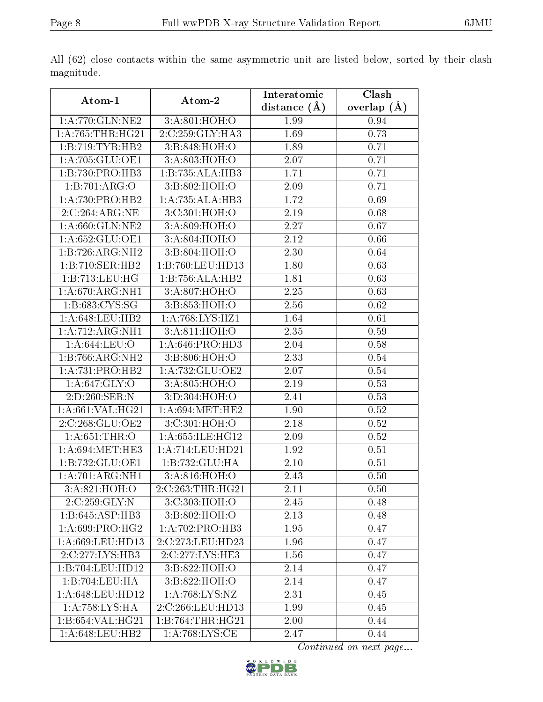|                    |                            | Interatomic    | Clash         |  |
|--------------------|----------------------------|----------------|---------------|--|
| Atom-1             | Atom-2                     | distance $(A)$ | overlap $(A)$ |  |
| 1:A:770:GLN:NE2    | 3:A:801:HOH:O              | 1.99           | 0.94          |  |
| 1: A:765:THR:HG21  | 2:C:259:GLY:HA3            | 1.69           | 0.73          |  |
| 1:B:719:TYR:HB2    | 3:B:848:HOH:O              | 1.89           | 0.71          |  |
| 1: A:705: GLU:OE1  | 3: A:803:HOH:O             | 2.07           | 0.71          |  |
| 1:B:730:PRO:HB3    | 1:B:735:ALA:HB3            | 1.71           | 0.71          |  |
| 1:B:701:ARG:O      | 3:B:802:HOH:O              | 2.09           | 0.71          |  |
| 1:A:730:PRO:HB2    | 1:A:735:ALA:HB3            | 1.72           | 0.69          |  |
| 2:C:264:ARG:NE     | 3:C:301:HOH:O              | 2.19           | 0.68          |  |
| 1:A:660:GLN:NE2    | 3:A:809:HOH:O              | 2.27           | 0.67          |  |
| 1: A:652: GLU:OE1  | 3:A:804:HOH:O              | 2.12           | 0.66          |  |
| 1:B:726:ARG:NH2    | 3:B:804:HOH:O              | 2.30           | 0.64          |  |
| 1:B:710:SER:HB2    | 1:B:760:LEU:HD13           | 1.80           | 0.63          |  |
| 1:B:713:LEU:HG     | 1:B:756:ALA:HB2            | 1.81           | 0.63          |  |
| 1: A:670:ARG:NH1   | $3:A:807:\overline{HOH:O}$ | 2.25           | 0.63          |  |
| 1:B:683:CYS:SG     | 3:B:853:HOH:O              | 2.56           | 0.62          |  |
| 1: A:648:LEU:HB2   | 1: A:768:LYS:HZ1           | 1.64           | 0.61          |  |
| 1:A:712:ARG:NH1    | 3:A:811:HOH:O              | 2.35           | 0.59          |  |
| 1:A:644:LEU:O      | 1: A:646: PRO:HD3          | 2.04           | 0.58          |  |
| 1:B:766:ARG:NH2    | 3:B:806:HOH:O              | 2.33           | 0.54          |  |
| 1:A:731:PRO:HB2    | 1: A: 732: GLU: OE2        | 2.07           | 0.54          |  |
| 1:A:647:GLY:O      | 3:A:805:HOH:O              | 2.19           | 0.53          |  |
| 2:D:260:SER:N      | 3:D:304:HOH:O              | 2.41           | 0.53          |  |
| 1:A:661:VAL:HG21   | 1: A:694:MET:HE2           | 1.90           | 0.52          |  |
| 2:C:268:GLU:OE2    | 3:C:301:HOH:O              | 2.18           | 0.52          |  |
| 1: A:651:THR:O     | 1: A: 655: ILE: HG12       | 2.09           | 0.52          |  |
| 1: A:694: MET:HE3  | 1: A:714: LEU: HD21        | 1.92           | 0.51          |  |
| 1:B:732:GLU:OE1    | 1:B:732:GLU:HA             | 2.10           | 0.51          |  |
| 1:A:701:ARG:NH1    | 3: A:816:HOH:O             | 2.43           | 0.50          |  |
| 3:A:821:HOH:O      | 2:C:263:THR:HG21           | 2.11           | 0.50          |  |
| 2:C:259:GLY:N      | 3:C:303:HOH:O              | 2.45           | 0.48          |  |
| 1:B:645:ASP:HB3    | 3:B:802:HOH:O              | 2.13           | 0.48          |  |
| 1: A:699: PRO:HG2  | 1:A:702:PRO:HB3            | 1.95           | 0.47          |  |
| 1:A:669:LEU:HD13   | 2:C:273:LEU:HD23           | 1.96           | 0.47          |  |
| 2:C:277:LYS:HB3    | 2:C:277:LYS:HE3            | 1.56           | 0.47          |  |
| 1:B:704:LEU:HD12   | 3:B:822:HOH:O              | 2.14           | 0.47          |  |
| 1:B:704:LEU:HA     | 3:B:822:HOH:O              | 2.14           | 0.47          |  |
| 1:A:648:LEU:HD12   | 1: A:768:LYS:NZ            | 2.31           | 0.45          |  |
| 1:A:758:LYS:HA     | 2:C:266:LEU:HD13           | 1.99           | 0.45          |  |
| 1: B:654: VAL:HG21 | 1:B:764:THR:HG21           | 2.00           | 0.44          |  |
| 1: A:648:LEU:HB2   | 1: A:768:LYS:CE            | 2.47           | 0.44          |  |

All (62) close contacts within the same asymmetric unit are listed below, sorted by their clash magnitude.

Continued on next page...

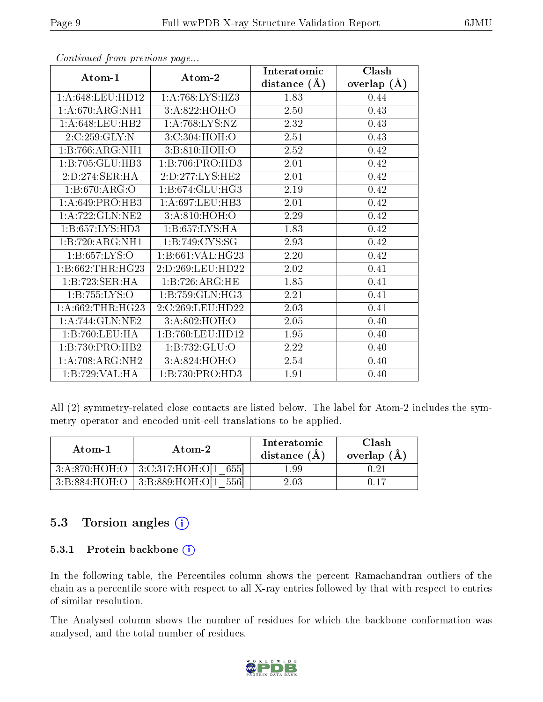|                    |                              | Interatomic    | Clash         |  |
|--------------------|------------------------------|----------------|---------------|--|
| Atom-1             | Atom-2                       | distance $(A)$ | overlap $(A)$ |  |
| 1: A:648:LEU:HD12  | 1:A:768:LYS:HZ3              | 1.83           | 0.44          |  |
| 1: A:670:ARG:NH1   | 3:A:822:HOH:O                | 2.50           | 0.43          |  |
| 1: A:648:LEU:HB2   | 1: A:768: LYS: NZ            | 2.32           | 0.43          |  |
| 2:C:259:GLY:N      | 3:C:304:HOH:O                | 2.51           | 0.43          |  |
| 1:B:766:ARG:NH1    | 3:B:810:HOH:O                | 2.52           | 0.42          |  |
| 1:B:705:GLU:HB3    | 1:B:706:PRO:HD3              | 2.01           | 0.42          |  |
| 2:D:274:SER:HA     | 2:D:277:LYS:HE2              | 2.01           | 0.42          |  |
| 1: B:670: ARG:O    | $1:B:674:GLU:H\overline{G3}$ | 2.19           | 0.42          |  |
| 1: A:649: PRO:HB3  | 1: A:697:LEU:HB3             | 2.01           | 0.42          |  |
| 1:A:722:GLN:NE2    | 3:A:810:HOH:O                | 2.29           | 0.42          |  |
| 1: B:657: LYS: HD3 | 1:B:657:LYS:HA               | 1.83           | 0.42          |  |
| 1:B:720:ARG:NH1    | 1:B:749:CYS:SG               | 2.93           | 0.42          |  |
| 1:B:657:LYS:O      | 1:B:661:VAL:HG23             | 2.20           | 0.42          |  |
| 1: B:662:THR:HG23  | 2:D:269:LEU:HD22             | 2.02           | 0.41          |  |
| 1:B:723:SER:HA     | 1:B:726:ARG:HE               | 1.85           | 0.41          |  |
| 1: B: 755: LYS: O  | 1:B:759:GLN:HG3              | 2.21           | 0.41          |  |
| 1: A:662:THR:HG23  | 2:C:269:LEU:HD22             | 2.03           | 0.41          |  |
| 1: A:744: GLN:NE2  | 3:A:802:HOH:O                | 2.05           | 0.40          |  |
| 1:B:760:LEU:HA     | 1:B:760:LEU:HD12             | 1.95           | 0.40          |  |
| 1:B:730:PRO:HB2    | 1:B:732:GLU:O                | 2.22           | 0.40          |  |
| 1:A:708:ARG:NH2    | 3:A:824:HOH:O                | 2.54           | 0.40          |  |
| 1:B:729:VAL:HA     | 1:B:730:PRO:HD3              | 1.91           | 0.40          |  |

Continued from previous page...

All (2) symmetry-related close contacts are listed below. The label for Atom-2 includes the symmetry operator and encoded unit-cell translations to be applied.

| Atom-1 | Atom-2                                   | Interatomic<br>distance $(A)$ | Clash<br>overlap $(A)$ |
|--------|------------------------------------------|-------------------------------|------------------------|
|        | $3:A:870:HOH:O$   $3:C:317:HOH:O[1 655]$ | $1.99\,$                      |                        |
|        | $3:B:884:HOH:O$   $3:B:889:HOH:O[1 556]$ | 2.03                          | በ 17                   |

# 5.3 Torsion angles (i)

### 5.3.1 Protein backbone (i)

In the following table, the Percentiles column shows the percent Ramachandran outliers of the chain as a percentile score with respect to all X-ray entries followed by that with respect to entries of similar resolution.

The Analysed column shows the number of residues for which the backbone conformation was analysed, and the total number of residues.

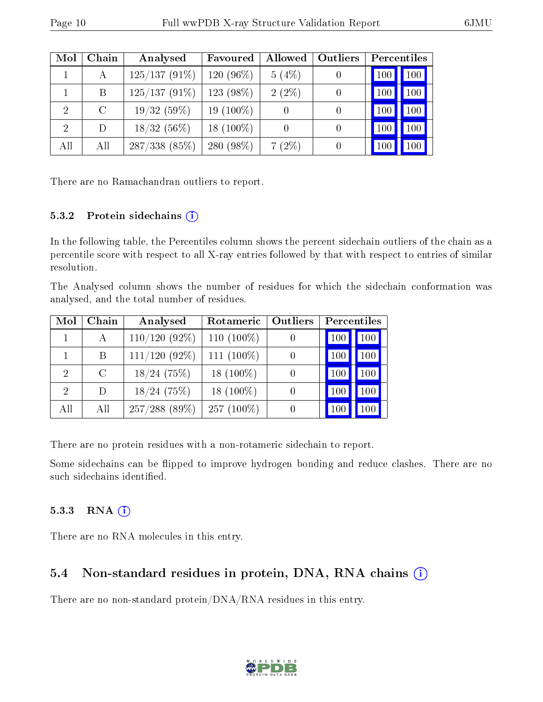| Mol            | Chain   | Analysed        | Favoured        | Allowed  | Outliers | Percentiles |     |
|----------------|---------|-----------------|-----------------|----------|----------|-------------|-----|
|                | А       | $125/137(91\%)$ | 120 (96%)       | 5(4%)    |          | 100         | 100 |
|                | B       | $125/137(91\%)$ | 123 (98%)       | $2(2\%)$ | 0        | 100         | 100 |
| $\overline{2}$ | $\rm C$ | 19/32(59%)      | $19(100\%)$     |          | 0        | 100         | 100 |
| $\overline{2}$ | D       | $18/32(56\%)$   | 18 $(100\%)$    |          | 0        | 100         | 100 |
| All            | All     | 287/338(85%)    | $(98\%)$<br>280 | $7(2\%)$ | 0        | 100         | 100 |

There are no Ramachandran outliers to report.

### 5.3.2 Protein sidechains  $(i)$

In the following table, the Percentiles column shows the percent sidechain outliers of the chain as a percentile score with respect to all X-ray entries followed by that with respect to entries of similar resolution.

The Analysed column shows the number of residues for which the sidechain conformation was analysed, and the total number of residues.

| Mol           | Chain         | Analysed         | Rotameric     | Outliers | Percentiles |         |
|---------------|---------------|------------------|---------------|----------|-------------|---------|
|               |               | $110/120(92\%)$  | 110 $(100\%)$ |          | 100         | 100     |
|               | B.            | $111/120$ (92\%) | 111 $(100\%)$ |          | 100         | 100     |
| 2             | $\mathcal{C}$ | $18/24$ (75%)    | 18 $(100\%)$  |          | 100         | $100\,$ |
| $\mathcal{D}$ | $\Box$        | $18/24$ (75%)    | 18 $(100\%)$  |          | 100         | $100\,$ |
| All           | All           | $257/288$ (89\%) | $257(100\%)$  |          | 100         |         |

There are no protein residues with a non-rotameric sidechain to report.

Some sidechains can be flipped to improve hydrogen bonding and reduce clashes. There are no such sidechains identified.

### $5.3.3$  RNA  $(i)$

There are no RNA molecules in this entry.

### 5.4 Non-standard residues in protein, DNA, RNA chains (i)

There are no non-standard protein/DNA/RNA residues in this entry.

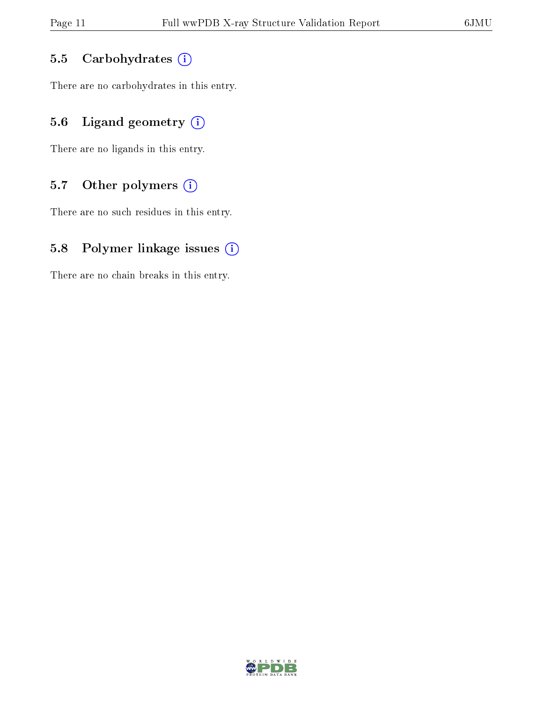### 5.5 Carbohydrates (i)

There are no carbohydrates in this entry.

# 5.6 Ligand geometry  $(i)$

There are no ligands in this entry.

## 5.7 [O](https://www.wwpdb.org/validation/2017/XrayValidationReportHelp#nonstandard_residues_and_ligands)ther polymers (i)

There are no such residues in this entry.

### 5.8 Polymer linkage issues  $(i)$

There are no chain breaks in this entry.